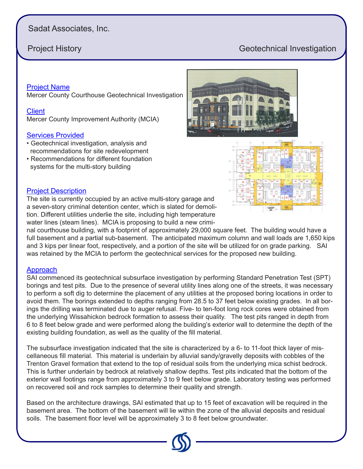# Sadat Associates, Inc.

# **Project History Geotechnical Investigation**

#### Project Name

Mercer County Courthouse Geotechnical Investigation

#### **Client**

Mercer County Improvement Authority (MCIA)

#### Services Provided

- Geotechnical investigation, analysis and recommendations for site redevelopment
- Recommendations for different foundation systems for the multi-story building





#### Project Description

The site is currently occupied by an active multi-story garage and a seven-story criminal detention center, which is slated for demolition. Different utilities underlie the site, including high temperature water lines (steam lines). MCIA is proposing to build a new crimi-

nal courthouse building, with a footprint of approximately 29,000 square feet. The building would have a full basement and a partial sub-basement. The anticipated maximum column and wall loads are 1,650 kips and 3 kips per linear foot, respectively, and a portion of the site will be utilized for on grade parking. SAI was retained by the MCIA to perform the geotechnical services for the proposed new building.

### Approach

SAI commenced its geotechnical subsurface investigation by performing Standard Penetration Test (SPT) borings and test pits. Due to the presence of several utility lines along one of the streets, it was necessary to perform a soft dig to determine the placement of any utilities at the proposed boring locations in order to avoid them. The borings extended to depths ranging from 28.5 to 37 feet below existing grades. In all borings the drilling was terminated due to auger refusal. Five- to ten-foot long rock cores were obtained from the underlying Wissahickon bedrock formation to assess their quality. The test pits ranged in depth from 6 to 8 feet below grade and were performed along the building's exterior wall to determine the depth of the existing building foundation, as well as the quality of the fill material.

The subsurface investigation indicated that the site is characterized by a 6- to 11-foot thick layer of miscellaneous fill material. This material is underlain by alluvial sandy/gravelly deposits with cobbles of the Trenton Gravel formation that extend to the top of residual soils from the underlying mica schist bedrock. This is further underlain by bedrock at relatively shallow depths. Test pits indicated that the bottom of the exterior wall footings range from approximately 3 to 9 feet below grade. Laboratory testing was performed on recovered soil and rock samples to determine their quality and strength.

Based on the architecture drawings, SAI estimated that up to 15 feet of excavation will be required in the basement area. The bottom of the basement will lie within the zone of the alluvial deposits and residual soils. The basement floor level will be approximately 3 to 8 feet below groundwater.